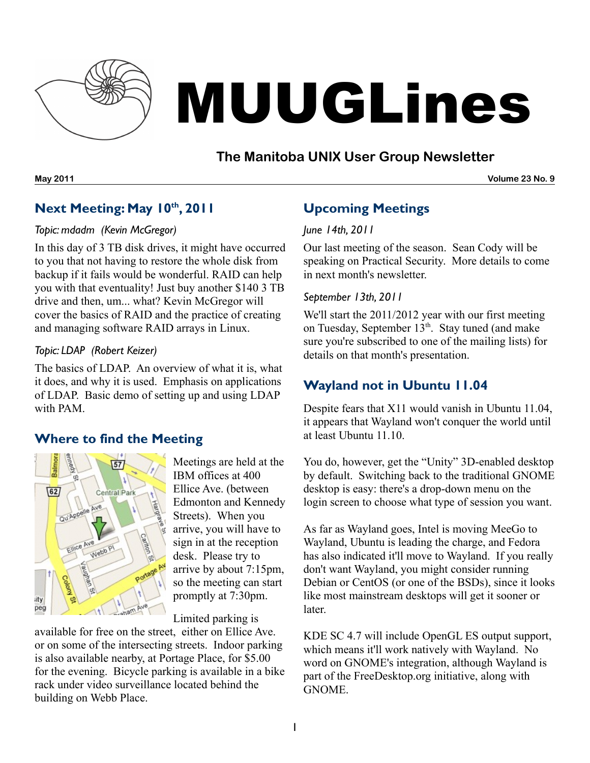

# MUUGLines

## **The Manitoba UNIX User Group Newsletter**

**May 2011 Volume 23 No. 9**

# **Next Meeting: May 10 th , 2011**

#### *Topic: mdadm (Kevin McGregor)*

In this day of 3 TB disk drives, it might have occurred to you that not having to restore the whole disk from backup if it fails would be wonderful. RAID can help you with that eventuality! Just buy another \$140 3 TB drive and then, um... what? Kevin McGregor will cover the basics of RAID and the practice of creating and managing software RAID arrays in Linux.

#### *Topic: LDAP (Robert Keizer)*

The basics of LDAP. An overview of what it is, what it does, and why it is used. Emphasis on applications of LDAP. Basic demo of setting up and using LDAP with PAM.

## **Where to find the Meeting**



Meetings are held at the IBM offices at 400 Ellice Ave. (between Edmonton and Kennedy Streets). When you arrive, you will have to sign in at the reception desk. Please try to arrive by about 7:15pm, so the meeting can start promptly at 7:30pm.

Limited parking is

available for free on the street, either on Ellice Ave. or on some of the intersecting streets. Indoor parking is also available nearby, at Portage Place, for \$5.00 for the evening. Bicycle parking is available in a bike rack under video surveillance located behind the building on Webb Place.

# **Upcoming Meetings**

#### *June 14th, 2011*

Our last meeting of the season. Sean Cody will be speaking on Practical Security. More details to come in next month's newsletter.

#### *September 13th, 2011*

We'll start the 2011/2012 year with our first meeting on Tuesday, September 13<sup>th</sup>. Stay tuned (and make sure you're subscribed to one of the mailing lists) for details on that month's presentation.

## **Wayland not in Ubuntu 11.04**

Despite fears that X11 would vanish in Ubuntu 11.04, it appears that Wayland won't conquer the world until at least Ubuntu 11.10.

You do, however, get the "Unity" 3D-enabled desktop by default. Switching back to the traditional GNOME desktop is easy: there's a drop-down menu on the login screen to choose what type of session you want.

As far as Wayland goes, Intel is moving MeeGo to Wayland, Ubuntu is leading the charge, and Fedora has also indicated it'll move to Wayland. If you really don't want Wayland, you might consider running Debian or CentOS (or one of the BSDs), since it looks like most mainstream desktops will get it sooner or later.

KDE SC 4.7 will include OpenGL ES output support, which means it'll work natively with Wayland. No word on GNOME's integration, although Wayland is part of the FreeDesktop.org initiative, along with GNOME.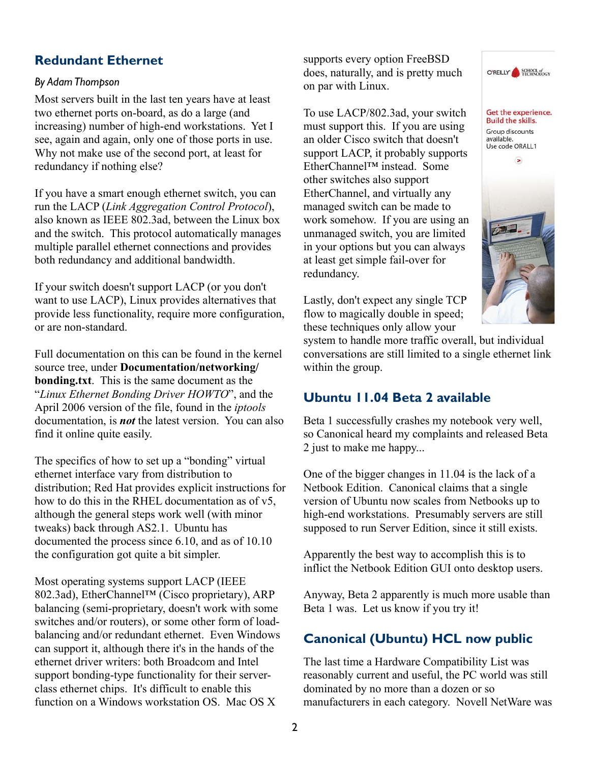### **Redundant Ethernet**

#### *By AdamThompson*

Most servers built in the last ten years have at least two ethernet ports on-board, as do a large (and increasing) number of high-end workstations. Yet I see, again and again, only one of those ports in use. Why not make use of the second port, at least for redundancy if nothing else?

If you have a smart enough ethernet switch, you can run the LACP (*Link Aggregation Control Protocol*), also known as IEEE 802.3ad, between the Linux box and the switch. This protocol automatically manages multiple parallel ethernet connections and provides both redundancy and additional bandwidth.

If your switch doesn't support LACP (or you don't want to use LACP), Linux provides alternatives that provide less functionality, require more configuration, or are non-standard.

Full documentation on this can be found in the kernel source tree, under **Documentation/networking/ bonding.txt**. This is the same document as the "*Linux Ethernet Bonding Driver HOWTO*", and the April 2006 version of the file, found in the *iptools* documentation, is *not* the latest version. You can also find it online quite easily.

The specifics of how to set up a "bonding" virtual ethernet interface vary from distribution to distribution; Red Hat provides explicit instructions for how to do this in the RHEL documentation as of v5, although the general steps work well (with minor tweaks) back through AS2.1. Ubuntu has documented the process since 6.10, and as of 10.10 the configuration got quite a bit simpler.

Most operating systems support LACP (IEEE 802.3ad), EtherChannel™ (Cisco proprietary), ARP balancing (semi-proprietary, doesn't work with some switches and/or routers), or some other form of loadbalancing and/or redundant ethernet. Even Windows can support it, although there it's in the hands of the ethernet driver writers: both Broadcom and Intel support bonding-type functionality for their serverclass ethernet chips. It's difficult to enable this function on a Windows workstation OS. Mac OS X

supports every option FreeBSD does, naturally, and is pretty much on par with Linux.

To use LACP/802.3ad, your switch must support this. If you are using an older Cisco switch that doesn't support LACP, it probably supports EtherChannel™ instead. Some other switches also support EtherChannel, and virtually any managed switch can be made to work somehow. If you are using an unmanaged switch, you are limited in your options but you can always at least get simple fail-over for redundancy.

Lastly, don't expect any single TCP flow to magically double in speed; these techniques only allow your



O'REILLY SCHOOL of

system to handle more traffic overall, but individual conversations are still limited to a single ethernet link within the group.

#### **Ubuntu 11.04 Beta 2 available**

Beta 1 successfully crashes my notebook very well, so Canonical heard my complaints and released Beta 2 just to make me happy...

One of the bigger changes in 11.04 is the lack of a Netbook Edition. Canonical claims that a single version of Ubuntu now scales from Netbooks up to high-end workstations. Presumably servers are still supposed to run Server Edition, since it still exists.

Apparently the best way to accomplish this is to inflict the Netbook Edition GUI onto desktop users.

Anyway, Beta 2 apparently is much more usable than Beta 1 was. Let us know if you try it!

## **Canonical (Ubuntu) HCL now public**

The last time a Hardware Compatibility List was reasonably current and useful, the PC world was still dominated by no more than a dozen or so manufacturers in each category. Novell NetWare was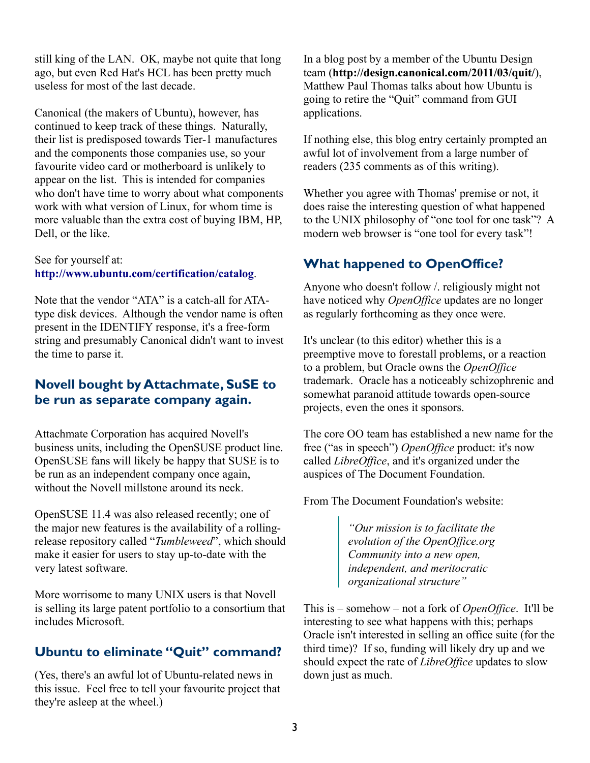still king of the LAN. OK, maybe not quite that long ago, but even Red Hat's HCL has been pretty much useless for most of the last decade.

Canonical (the makers of Ubuntu), however, has continued to keep track of these things. Naturally, their list is predisposed towards Tier-1 manufactures and the components those companies use, so your favourite video card or motherboard is unlikely to appear on the list. This is intended for companies who don't have time to worry about what components work with what version of Linux, for whom time is more valuable than the extra cost of buying IBM, HP, Dell, or the like.

#### See for yourself at: **<http://www.ubuntu.com/certification/catalog>**.

Note that the vendor "ATA" is a catch-all for ATAtype disk devices. Although the vendor name is often present in the IDENTIFY response, it's a free-form string and presumably Canonical didn't want to invest the time to parse it.

## **Novell bought by Attachmate, SuSE to be run as separate company again.**

Attachmate Corporation has acquired Novell's business units, including the OpenSUSE product line. OpenSUSE fans will likely be happy that SUSE is to be run as an independent company once again, without the Novell millstone around its neck.

OpenSUSE 11.4 was also released recently; one of the major new features is the availability of a rollingrelease repository called "*Tumbleweed*", which should make it easier for users to stay up-to-date with the very latest software.

More worrisome to many UNIX users is that Novell is selling its large patent portfolio to a consortium that includes Microsoft.

#### **Ubuntu to eliminate "Quit" command?**

(Yes, there's an awful lot of Ubuntu-related news in this issue. Feel free to tell your favourite project that they're asleep at the wheel.)

In a blog post by a member of the Ubuntu Design team (**<http://design.canonical.com/2011/03/quit/>**), Matthew Paul Thomas talks about how Ubuntu is going to retire the "Quit" command from GUI applications.

If nothing else, this blog entry certainly prompted an awful lot of involvement from a large number of readers (235 comments as of this writing).

Whether you agree with Thomas' premise or not, it does raise the interesting question of what happened to the UNIX philosophy of "one tool for one task"? A modern web browser is "one tool for every task"!

### **What happened to OpenOffice?**

Anyone who doesn't follow /. religiously might not have noticed why *OpenOffice* updates are no longer as regularly forthcoming as they once were.

It's unclear (to this editor) whether this is a preemptive move to forestall problems, or a reaction to a problem, but Oracle owns the *OpenOffice* trademark. Oracle has a noticeably schizophrenic and somewhat paranoid attitude towards open-source projects, even the ones it sponsors.

The core OO team has established a new name for the free ("as in speech") *OpenOffice* product: it's now called *LibreOffice*, and it's organized under the auspices of The Document Foundation.

From The Document Foundation's website:

*"Our mission is to facilitate the evolution of the OpenOffice.org Community into a new open, independent, and meritocratic organizational structure"*

This is – somehow – not a fork of *OpenOffice*. It'll be interesting to see what happens with this; perhaps Oracle isn't interested in selling an office suite (for the third time)? If so, funding will likely dry up and we should expect the rate of *LibreOffice* updates to slow down just as much.